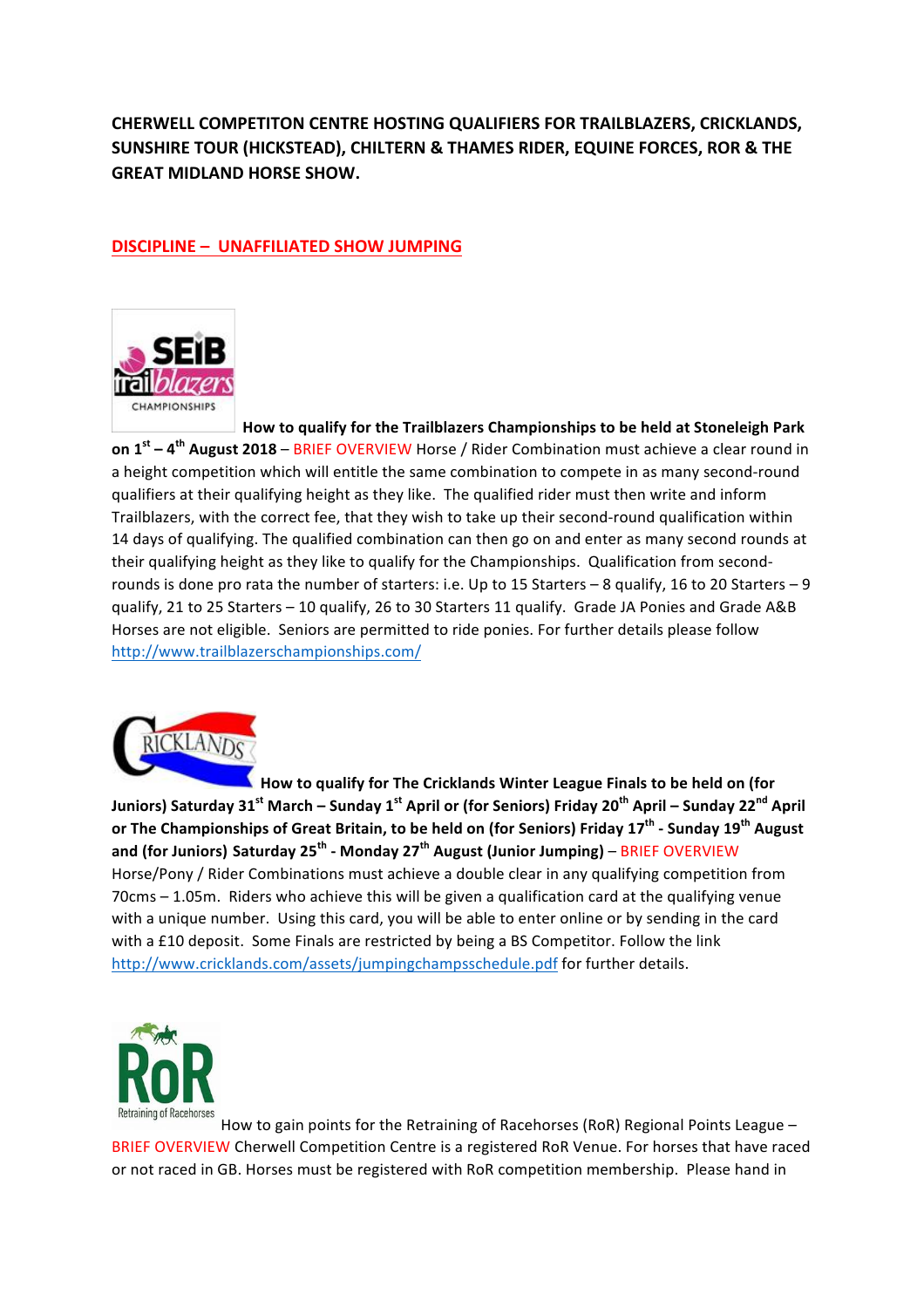**CHERWELL COMPETITON CENTRE HOSTING QUALIFIERS FOR TRAILBLAZERS, CRICKLANDS, SUNSHIRE TOUR (HICKSTEAD), CHILTERN & THAMES RIDER, EQUINE FORCES, ROR & THE GREAT MIDLAND HORSE SHOW.** 

# **DISCIPLINE - UNAFFILIATED SHOW JUMPING**



How to qualify for the Trailblazers Championships to be held at Stoneleigh Park **on 1<sup>st</sup>** – 4<sup>th</sup> August 2018 – BRIEF OVERVIEW Horse / Rider Combination must achieve a clear round in a height competition which will entitle the same combination to compete in as many second-round qualifiers at their qualifying height as they like. The qualified rider must then write and inform Trailblazers, with the correct fee, that they wish to take up their second-round qualification within 14 days of qualifying. The qualified combination can then go on and enter as many second rounds at their qualifying height as they like to qualify for the Championships. Qualification from secondrounds is done pro rata the number of starters: i.e. Up to 15 Starters - 8 qualify, 16 to 20 Starters - 9 qualify, 21 to 25 Starters - 10 qualify, 26 to 30 Starters 11 qualify. Grade JA Ponies and Grade A&B Horses are not eligible. Seniors are permitted to ride ponies. For further details please follow http://www.trailblazerschampionships.com/



**How to qualify for The Cricklands Winter League Finals to be held on (for Juniors)** Saturday 31<sup><sup>st</sup> March – Sunday 1<sup>st</sup> April or (for Seniors) Friday 20<sup>th</sup> April – Sunday 22<sup>nd</sup> April</sup> **or The Championships of Great Britain, to be held on (for Seniors) Friday 17th - Sunday 19th August** and (for Juniors) Saturday 25<sup>th</sup> - Monday 27<sup>th</sup> August (Junior Jumping) – BRIEF OVERVIEW Horse/Pony / Rider Combinations must achieve a double clear in any qualifying competition from  $70\text{cm}$ s – 1.05m. Riders who achieve this will be given a qualification card at the qualifying venue with a unique number. Using this card, you will be able to enter online or by sending in the card with a £10 deposit. Some Finals are restricted by being a BS Competitor. Follow the link http://www.cricklands.com/assets/jumpingchampsschedule.pdf for further details.



How to gain points for the Retraining of Racehorses (RoR) Regional Points League – BRIEF OVERVIEW Cherwell Competition Centre is a registered RoR Venue. For horses that have raced or not raced in GB. Horses must be registered with RoR competition membership. Please hand in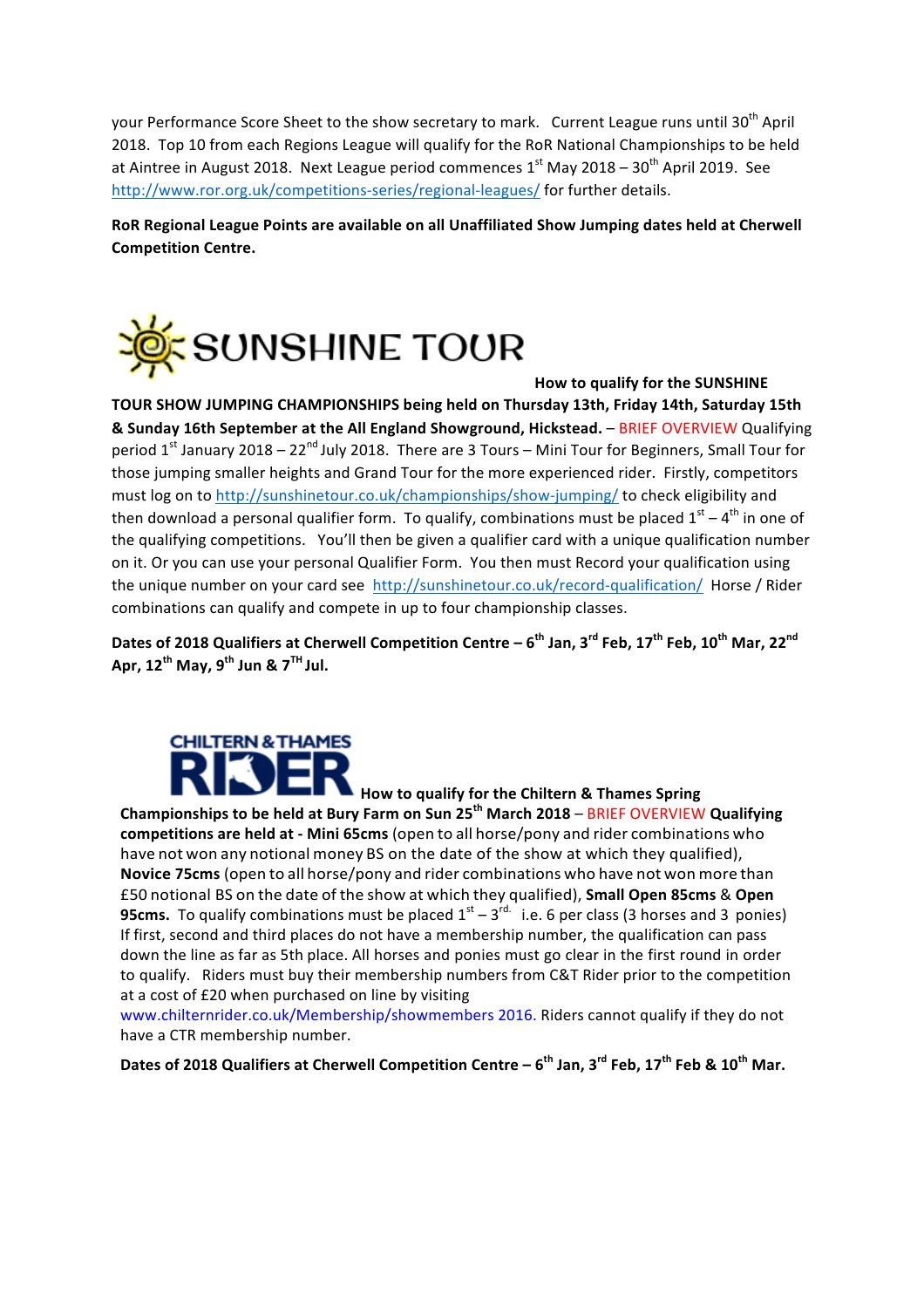your Performance Score Sheet to the show secretary to mark. Current League runs until 30<sup>th</sup> April 2018. Top 10 from each Regions League will qualify for the RoR National Championships to be held at Aintree in August 2018. Next League period commences  $1<sup>st</sup>$  May 2018 – 30<sup>th</sup> April 2019. See http://www.ror.org.uk/competitions-series/regional-leagues/ for further details.

RoR Regional League Points are available on all Unaffiliated Show Jumping dates held at Cherwell **Competition Centre.**



#### **How to qualify for the SUNSHINE**

**TOUR SHOW JUMPING CHAMPIONSHIPS being held on Thursday 13th, Friday 14th, Saturday 15th & Sunday 16th September at the All England Showground, Hickstead. – BRIEF OVERVIEW Qualifying** period  $1^{st}$  January 2018 – 22<sup>nd</sup> July 2018. There are 3 Tours – Mini Tour for Beginners, Small Tour for those jumping smaller heights and Grand Tour for the more experienced rider. Firstly, competitors must log on to http://sunshinetour.co.uk/championships/show-jumping/ to check eligibility and then download a personal qualifier form. To qualify, combinations must be placed  $1<sup>st</sup> - 4<sup>th</sup>$  in one of the qualifying competitions. You'll then be given a qualifier card with a unique qualification number on it. Or you can use your personal Qualifier Form. You then must Record your qualification using the unique number on your card see http://sunshinetour.co.uk/record-qualification/ Horse / Rider combinations can qualify and compete in up to four championship classes.

**Dates of 2018 Qualifiers at Cherwell Competition Centre – 6<sup>th</sup> Jan, 3<sup>rd</sup> Feb. 17<sup>th</sup> Feb. 10<sup>th</sup> Mar. 22<sup>nd</sup> Apr, 12th May, 9th Jun & 7TH Jul.**



**How to qualify for the Chiltern & Thames Spring** 

**Championships to be held at Bury Farm on Sun 25<sup>th</sup> March 2018 – BRIEF OVERVIEW Qualifying competitions are held at - Mini 65cms** (open to all horse/pony and rider combinations who have not won any notional money BS on the date of the show at which they qualified), **Novice 75cms** (open to all horse/pony and rider combinations who have not won more than £50 notional BS on the date of the show at which they qualified), **Small Open 85cms** & **Open 95cms.** To qualify combinations must be placed  $1^{st} - 3^{rd}$  i.e. 6 per class (3 horses and 3 ponies) If first, second and third places do not have a membership number, the qualification can pass down the line as far as 5th place. All horses and ponies must go clear in the first round in order to qualify. Riders must buy their membership numbers from C&T Rider prior to the competition at a cost of £20 when purchased on line by visiting

www.chilternrider.co.uk/Membership/showmembers 2016. Riders cannot qualify if they do not have a CTR membership number.

**Dates of 2018 Qualifiers at Cherwell Competition Centre – 6<sup>th</sup> Jan, 3<sup>rd</sup> Feb, 17<sup>th</sup> Feb & 10<sup>th</sup> Mar.**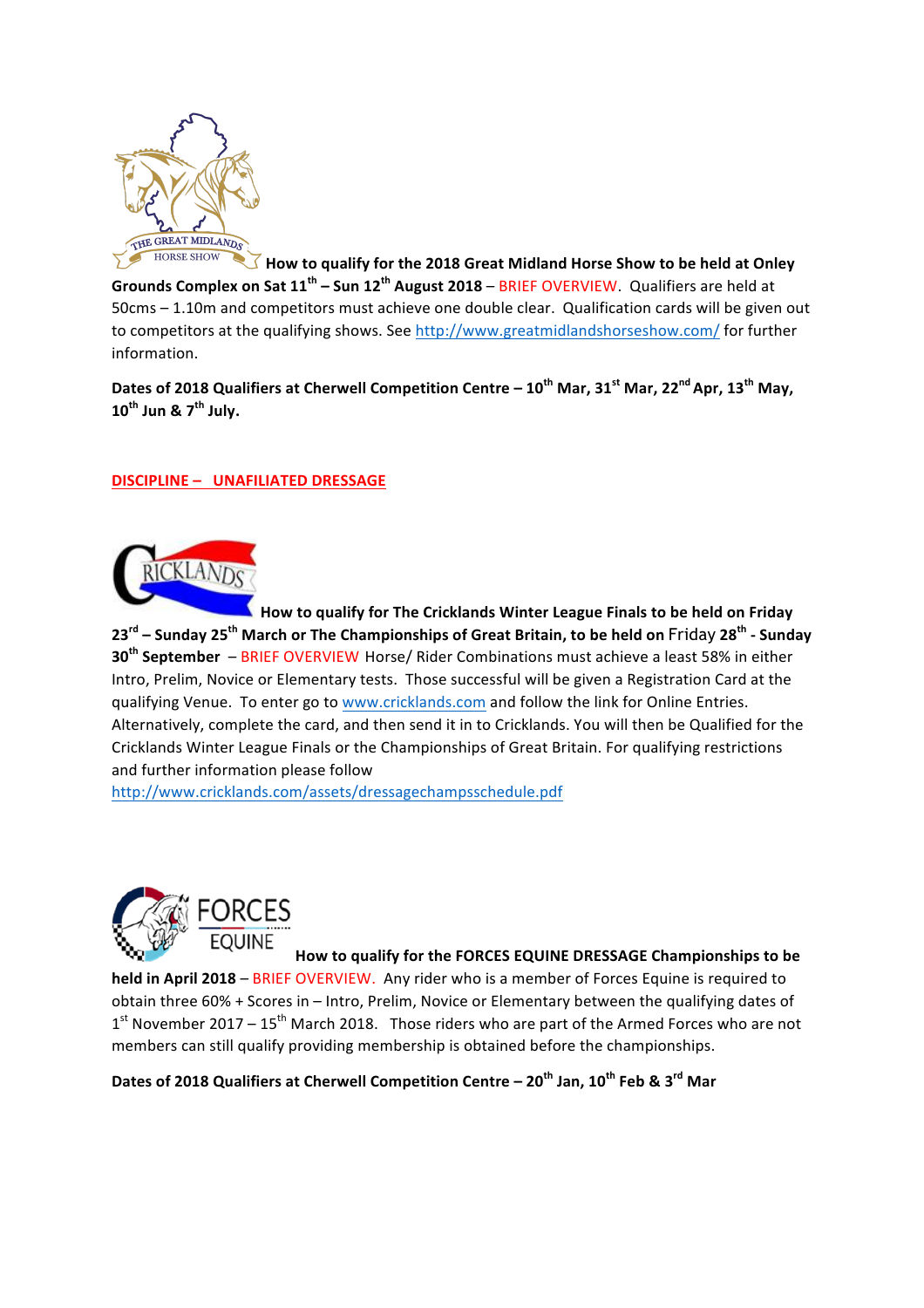

 $\overline{\triangle}$  How to qualify for the 2018 Great Midland Horse Show to be held at Onley **Grounds Complex on Sat 11<sup>th</sup> – Sun 12<sup>th</sup> August 2018** – BRIEF OVERVIEW. Qualifiers are held at 50cms – 1.10m and competitors must achieve one double clear. Qualification cards will be given out to competitors at the qualifying shows. See http://www.greatmidlandshorseshow.com/ for further information.

**Dates of 2018 Qualifiers at Cherwell Competition Centre – 10<sup>th</sup> Mar, 31<sup>st</sup> Mar, 22<sup>nd</sup> Apr, 13<sup>th</sup> May, 10th Jun & 7th July.**

## **DISCIPLINE - UNAFILIATED DRESSAGE**



How to qualify for The Cricklands Winter League Finals to be held on Friday **23rd – Sunday 25th March or The Championships of Great Britain, to be held on** Friday **28th - Sunday 30<sup>th</sup> September** – BRIEF OVERVIEW Horse/ Rider Combinations must achieve a least 58% in either Intro, Prelim, Novice or Elementary tests. Those successful will be given a Registration Card at the qualifying Venue. To enter go to www.cricklands.com and follow the link for Online Entries. Alternatively, complete the card, and then send it in to Cricklands. You will then be Qualified for the Cricklands Winter League Finals or the Championships of Great Britain. For qualifying restrictions and further information please follow

http://www.cricklands.com/assets/dressagechampsschedule.pdf



How to qualify for the FORCES EQUINE DRESSAGE Championships to be

**held in April 2018** – BRIEF OVERVIEW. Any rider who is a member of Forces Equine is required to obtain three 60% + Scores in – Intro, Prelim, Novice or Elementary between the qualifying dates of  $1<sup>st</sup>$  November 2017 –  $15<sup>th</sup>$  March 2018. Those riders who are part of the Armed Forces who are not members can still qualify providing membership is obtained before the championships.

**Dates of 2018 Qualifiers at Cherwell Competition Centre – 20<sup>th</sup> Jan, 10<sup>th</sup> Feb & 3<sup>rd</sup> Mar**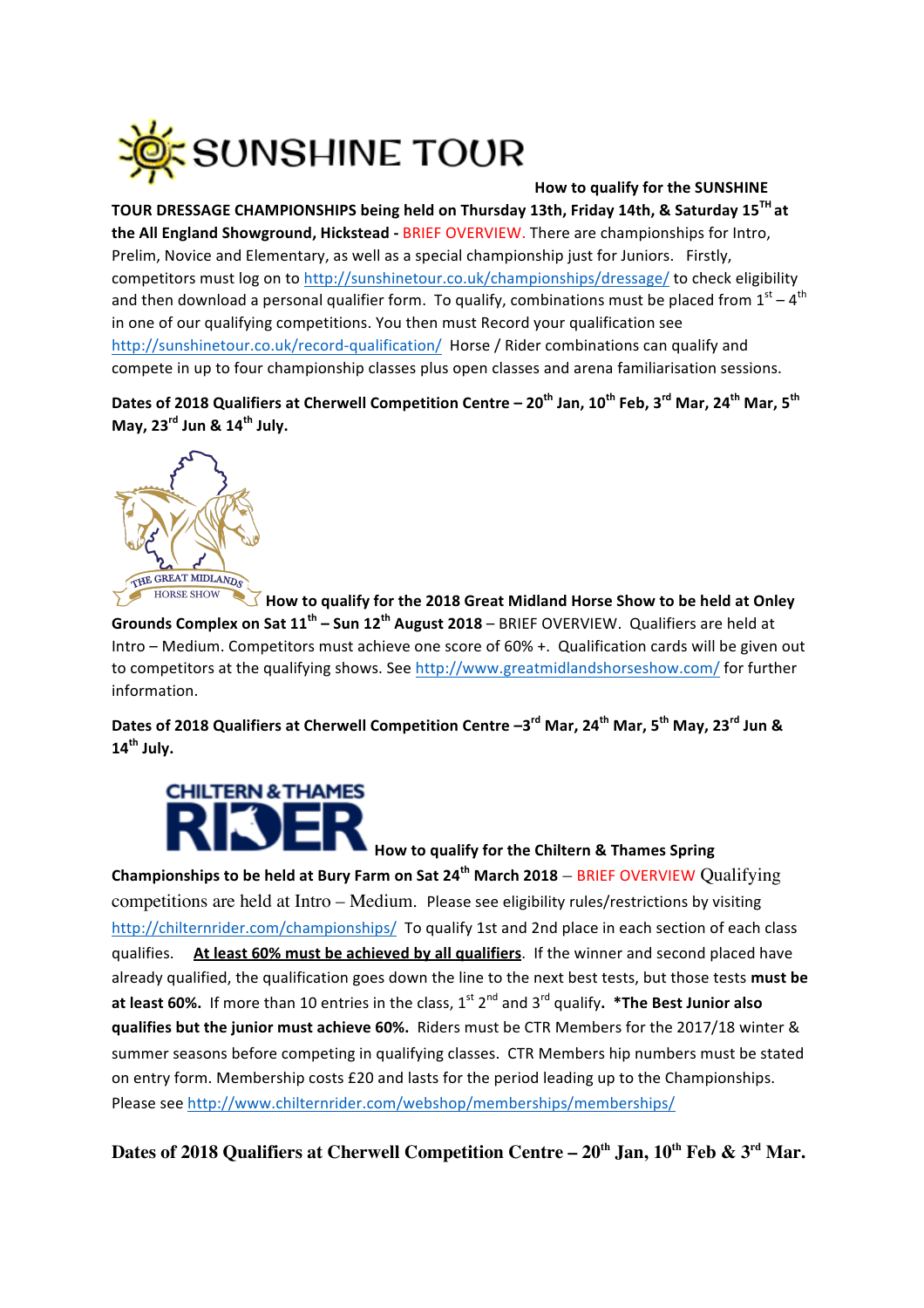

## **How to qualify for the SUNSHINE**

TOUR DRESSAGE CHAMPIONSHIPS being held on Thursday 13th, Friday 14th, & Saturday 15<sup>TH</sup> at **the All England Showground, Hickstead - BRIEF OVERVIEW.** There are championships for Intro, Prelim, Novice and Elementary, as well as a special championship just for Juniors. Firstly, competitors must log on to http://sunshinetour.co.uk/championships/dressage/ to check eligibility and then download a personal qualifier form. To qualify, combinations must be placed from  $1<sup>st</sup> - 4<sup>th</sup>$ in one of our qualifying competitions. You then must Record your qualification see http://sunshinetour.co.uk/record-qualification/ Horse / Rider combinations can qualify and compete in up to four championship classes plus open classes and arena familiarisation sessions.

**Dates of 2018 Qualifiers at Cherwell Competition Centre – 20<sup>th</sup> Jan, 10<sup>th</sup> Feb, 3<sup>rd</sup> Mar, 24<sup>th</sup> Mar, 5<sup>th</sup> May, 23rd Jun & 14th July.**



**How to qualify for the 2018 Great Midland Horse Show to be held at Onley Grounds Complex on Sat 11<sup>th</sup> – Sun 12<sup>th</sup> August 2018** – BRIEF OVERVIEW. Qualifiers are held at Intro – Medium. Competitors must achieve one score of 60% +. Qualification cards will be given out to competitors at the qualifying shows. See http://www.greatmidlandshorseshow.com/ for further information.

**Dates of 2018 Qualifiers at Cherwell Competition Centre**  $-3^{\text{rd}}$  **Mar, 24<sup>th</sup> Mar, 5<sup>th</sup> May, 23<sup>rd</sup> Jun & 14th July.**



**How to qualify for the Chiltern & Thames Spring** 

**Championships to be held at Bury Farm on Sat 24<sup>th</sup> March 2018 – BRIEF OVERVIEW Qualifying** competitions are held at Intro – Medium. Please see eligibility rules/restrictions by visiting http://chilternrider.com/championships/ To qualify 1st and 2nd place in each section of each class qualifies. At least 60% must be achieved by all qualifiers. If the winner and second placed have already qualified, the qualification goes down the line to the next best tests, but those tests **must be at least 60%.** If more than 10 entries in the class,  $1^{st}$   $2^{nd}$  and  $3^{rd}$  qualify.  $*$ The Best Junior also **qualifies but the junior must achieve 60%.** Riders must be CTR Members for the 2017/18 winter & summer seasons before competing in qualifying classes. CTR Members hip numbers must be stated on entry form. Membership costs £20 and lasts for the period leading up to the Championships. Please see http://www.chilternrider.com/webshop/memberships/memberships/

**Dates of 2018 Qualifiers at Cherwell Competition Centre – 20th Jan, 10th Feb & 3rd Mar.**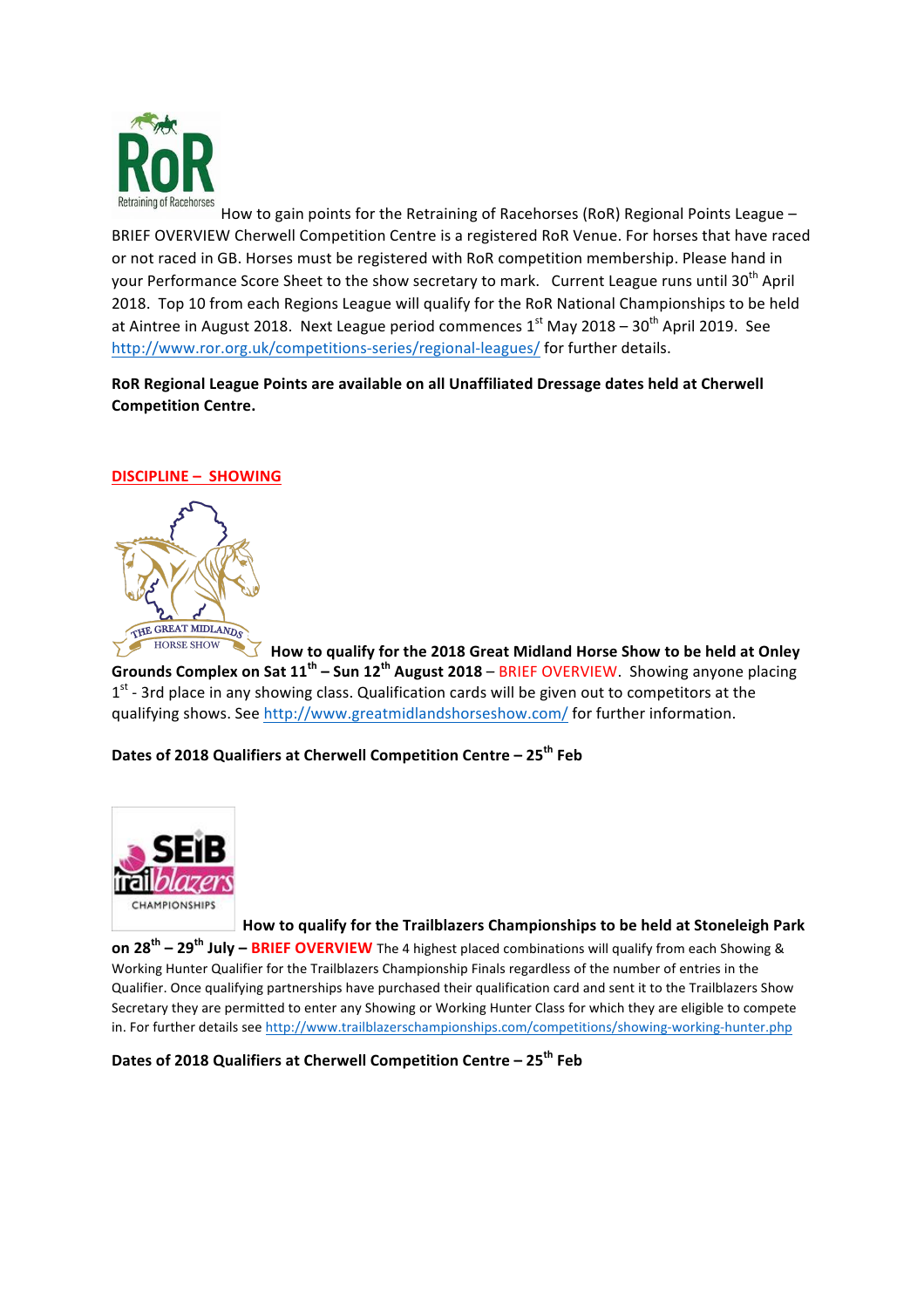

How to gain points for the Retraining of Racehorses (RoR) Regional Points League  $-$ BRIEF OVERVIEW Cherwell Competition Centre is a registered RoR Venue. For horses that have raced or not raced in GB. Horses must be registered with RoR competition membership. Please hand in your Performance Score Sheet to the show secretary to mark. Current League runs until 30<sup>th</sup> April 2018. Top 10 from each Regions League will qualify for the RoR National Championships to be held at Aintree in August 2018. Next League period commences  $1<sup>st</sup>$  May 2018 – 30<sup>th</sup> April 2019. See http://www.ror.org.uk/competitions-series/regional-leagues/ for further details.

RoR Regional League Points are available on all Unaffiliated Dressage dates held at Cherwell **Competition Centre.**

## **DISCIPLINE - SHOWING**



**How to qualify for the 2018 Great Midland Horse Show to be held at Onley Grounds Complex on Sat 11<sup>th</sup> – Sun 12<sup>th</sup> August 2018** – BRIEF OVERVIEW. Showing anyone placing  $1<sup>st</sup>$  - 3rd place in any showing class. Qualification cards will be given out to competitors at the qualifying shows. See http://www.greatmidlandshorseshow.com/ for further information.

## **Dates of 2018 Qualifiers at Cherwell Competition Centre – 25<sup>th</sup> Feb**



How to qualify for the Trailblazers Championships to be held at Stoneleigh Park

**on 28<sup>th</sup>** – 29<sup>th</sup> **July** – **BRIEF OVERVIEW** The 4 highest placed combinations will qualify from each Showing & Working Hunter Qualifier for the Trailblazers Championship Finals regardless of the number of entries in the Qualifier. Once qualifying partnerships have purchased their qualification card and sent it to the Trailblazers Show Secretary they are permitted to enter any Showing or Working Hunter Class for which they are eligible to compete in. For further details see http://www.trailblazerschampionships.com/competitions/showing-working-hunter.php

**Dates of 2018 Qualifiers at Cherwell Competition Centre – 25<sup>th</sup> Feb**